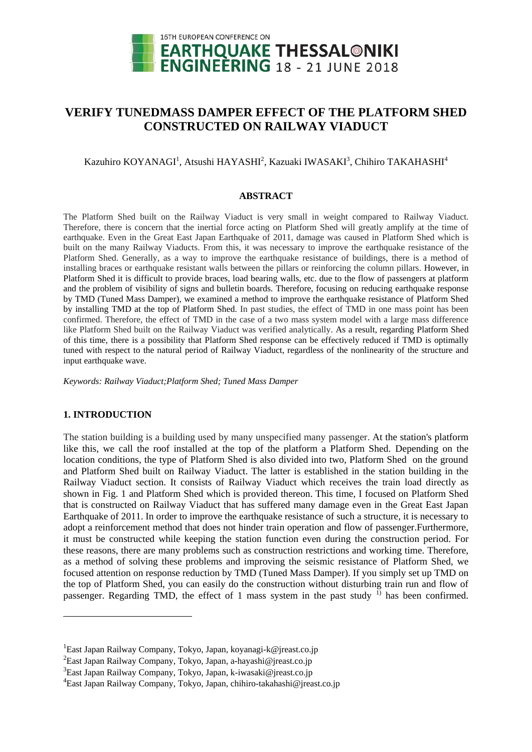

# **VERIFY TUNEDMASS DAMPER EFFECT OF THE PLATFORM SHED CONSTRUCTED ON RAILWAY VIADUCT**

## Kazuhiro KOYANAGI<sup>1</sup>, Atsushi HAYASHI<sup>2</sup>, Kazuaki IWASAKI<sup>3</sup>, Chihiro TAKAHASHI<sup>4</sup>

#### **ABSTRACT**

The Platform Shed built on the Railway Viaduct is very small in weight compared to Railway Viaduct. Therefore, there is concern that the inertial force acting on Platform Shed will greatly amplify at the time of earthquake. Even in the Great East Japan Earthquake of 2011, damage was caused in Platform Shed which is built on the many Railway Viaducts. From this, it was necessary to improve the earthquake resistance of the Platform Shed. Generally, as a way to improve the earthquake resistance of buildings, there is a method of installing braces or earthquake resistant walls between the pillars or reinforcing the column pillars. However, in Platform Shed it is difficult to provide braces, load bearing walls, etc. due to the flow of passengers at platform and the problem of visibility of signs and bulletin boards. Therefore, focusing on reducing earthquake response by TMD (Tuned Mass Damper), we examined a method to improve the earthquake resistance of Platform Shed by installing TMD at the top of Platform Shed. In past studies, the effect of TMD in one mass point has been confirmed. Therefore, the effect of TMD in the case of a two mass system model with a large mass difference like Platform Shed built on the Railway Viaduct was verified analytically. As a result, regarding Platform Shed of this time, there is a possibility that Platform Shed response can be effectively reduced if TMD is optimally tuned with respect to the natural period of Railway Viaduct, regardless of the nonlinearity of the structure and input earthquake wave.

*Keywords: Railway Viaduct;Platform Shed; Tuned Mass Damper*

## **1. INTRODUCTION**

1

The station building is a building used by many unspecified many passenger. At the station's platform like this, we call the roof installed at the top of the platform a Platform Shed. Depending on the location conditions, the type of Platform Shed is also divided into two, Platform Shed on the ground and Platform Shed built on Railway Viaduct. The latter is established in the station building in the Railway Viaduct section. It consists of Railway Viaduct which receives the train load directly as shown in Fig. 1 and Platform Shed which is provided thereon. This time, I focused on Platform Shed that is constructed on Railway Viaduct that has suffered many damage even in the Great East Japan Earthquake of 2011. In order to improve the earthquake resistance of such a structure, it is necessary to adopt a reinforcement method that does not hinder train operation and flow of passenger.Furthermore, it must be constructed while keeping the station function even during the construction period. For these reasons, there are many problems such as construction restrictions and working time. Therefore, as a method of solving these problems and improving the seismic resistance of Platform Shed, we focused attention on response reduction by TMD (Tuned Mass Damper). If you simply set up TMD on the top of Platform Shed, you can easily do the construction without disturbing train run and flow of passenger. Regarding TMD, the effect of 1 mass system in the past study  $\overline{p}$  has been confirmed.

<sup>&</sup>lt;sup>1</sup>East Japan Railway Company, Tokyo, Japan, koyanagi-k@jreast.co.jp

<sup>&</sup>lt;sup>2</sup>East Japan Railway Company, Tokyo, Japan, a-hayashi@jreast.co.jp

<sup>3</sup>East Japan Railway Company, Tokyo, Japan, k-iwasaki@jreast.co.jp

<sup>&</sup>lt;sup>4</sup>East Japan Railway Company, Tokyo, Japan, chihiro-takahashi@ireast.co.jp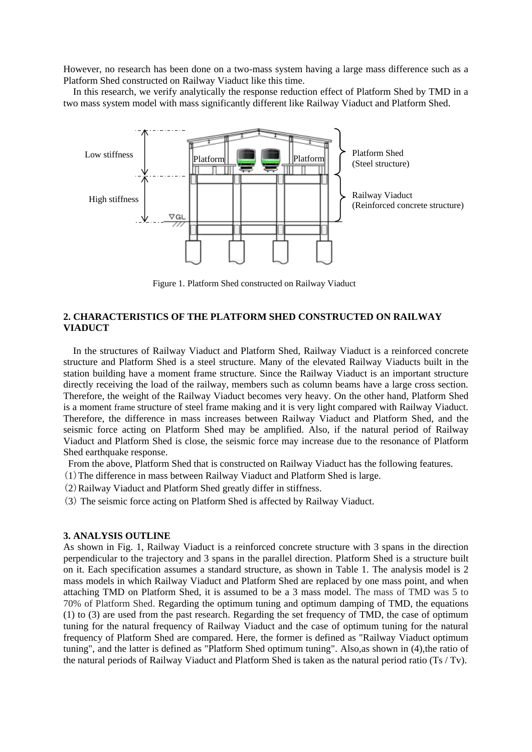However, no research has been done on a two-mass system having a large mass difference such as a Platform Shed constructed on Railway Viaduct like this time.

In this research, we verify analytically the response reduction effect of Platform Shed by TMD in a two mass system model with mass significantly different like Railway Viaduct and Platform Shed.



Figure 1. Platform Shed constructed on Railway Viaduct

## **2. CHARACTERISTICS OF THE PLATFORM SHED CONSTRUCTED ON RAILWAY VIADUCT**

In the structures of Railway Viaduct and Platform Shed, Railway Viaduct is a reinforced concrete structure and Platform Shed is a steel structure. Many of the elevated Railway Viaducts built in the station building have a moment frame structure. Since the Railway Viaduct is an important structure directly receiving the load of the railway, members such as column beams have a large cross section. Therefore, the weight of the Railway Viaduct becomes very heavy. On the other hand, Platform Shed is a moment frame structure of steel frame making and it is very light compared with Railway Viaduct. Therefore, the difference in mass increases between Railway Viaduct and Platform Shed, and the seismic force acting on Platform Shed may be amplified. Also, if the natural period of Railway Viaduct and Platform Shed is close, the seismic force may increase due to the resonance of Platform Shed earthquake response.

From the above, Platform Shed that is constructed on Railway Viaduct has the following features.

- (1)The difference in mass between Railway Viaduct and Platform Shed is large.
- (2)Railway Viaduct and Platform Shed greatly differ in stiffness.
- (3) The seismic force acting on Platform Shed is affected by Railway Viaduct.

#### **3. ANALYSIS OUTLINE**

As shown in Fig. 1, Railway Viaduct is a reinforced concrete structure with 3 spans in the direction perpendicular to the trajectory and 3 spans in the parallel direction. Platform Shed is a structure built on it. Each specification assumes a standard structure, as shown in Table 1. The analysis model is 2 mass models in which Railway Viaduct and Platform Shed are replaced by one mass point, and when attaching TMD on Platform Shed, it is assumed to be a 3 mass model. The mass of TMD was 5 to 70% of Platform Shed. Regarding the optimum tuning and optimum damping of TMD, the equations (1) to (3) are used from the past research. Regarding the set frequency of TMD, the case of optimum tuning for the natural frequency of Railway Viaduct and the case of optimum tuning for the natural frequency of Platform Shed are compared. Here, the former is defined as "Railway Viaduct optimum tuning", and the latter is defined as "Platform Shed optimum tuning". Also,as shown in (4),the ratio of the natural periods of Railway Viaduct and Platform Shed is taken as the natural period ratio (Ts / Tv).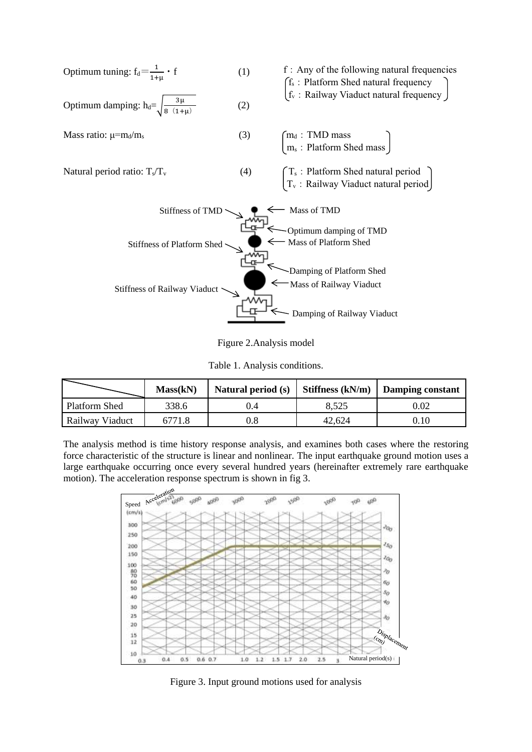

Figure 2.Analysis model

Table 1. Analysis conditions.

|                 | Mass(kN) | Natural period (s) | Stiffness $(kN/m)$ | Damping constant |  |  |
|-----------------|----------|--------------------|--------------------|------------------|--|--|
| Platform Shed   | 338.6    |                    | 8.525              | 0.02             |  |  |
| Railway Viaduct | 6771.8   |                    | 42,624             | 0.10             |  |  |

The analysis method is time history response analysis, and examines both cases where the restoring force characteristic of the structure is linear and nonlinear. The input earthquake ground motion uses a large earthquake occurring once every several hundred years (hereinafter extremely rare earthquake motion). The acceleration response spectrum is shown in fig 3.



Figure 3. Input ground motions used for analysis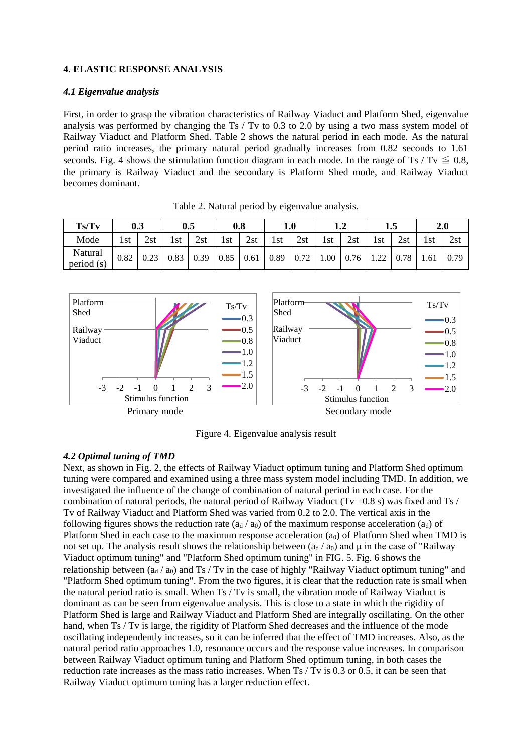## **4. ELASTIC RESPONSE ANALYSIS**

#### *4.1 Eigenvalue analysis*

First, in order to grasp the vibration characteristics of Railway Viaduct and Platform Shed, eigenvalue analysis was performed by changing the Ts / Tv to 0.3 to 2.0 by using a two mass system model of Railway Viaduct and Platform Shed. Table 2 shows the natural period in each mode. As the natural period ratio increases, the primary natural period gradually increases from 0.82 seconds to 1.61 seconds. Fig. 4 shows the stimulation function diagram in each mode. In the range of Ts / Tv  $\leq 0.8$ , the primary is Railway Viaduct and the secondary is Platform Shed mode, and Railway Viaduct becomes dominant.

| Ts/Tv                |      | 0.3  | 0.5  |      |      | 0.8               |     | $1.0\,$ |      | ⊥.∠  |      | 1.J  |      | 2.0  |
|----------------------|------|------|------|------|------|-------------------|-----|---------|------|------|------|------|------|------|
| Mode                 | 1st  | 2st  | 1st  | 2st  | 1st. | 2st               | 1st | 2st     | 1st  | 2st  | 1st  | 2st  | 1st  | 2st  |
| Natural<br>period(s) | 0.82 | 0.23 | 0.83 | 0.39 | 0.85 | $0.61 \quad 0.89$ |     | 0.72    | 1.00 | 0.76 | 1.22 | 0.78 | 1.61 | 0.79 |

Table 2. Natural period by eigenvalue analysis.



Figure 4. Eigenvalue analysis result

## *4.2 Optimal tuning of TMD*

Next, as shown in Fig. 2, the effects of Railway Viaduct optimum tuning and Platform Shed optimum tuning were compared and examined using a three mass system model including TMD. In addition, we investigated the influence of the change of combination of natural period in each case. For the combination of natural periods, the natural period of Railway Viaduct (Tv =  $0.8$  s) was fixed and Ts / Tv of Railway Viaduct and Platform Shed was varied from 0.2 to 2.0. The vertical axis in the following figures shows the reduction rate  $(a_d / a_0)$  of the maximum response acceleration  $(a_d)$  of Platform Shed in each case to the maximum response acceleration  $(a_0)$  of Platform Shed when TMD is not set up. The analysis result shows the relationship between  $(a_d/a_0)$  and  $\mu$  in the case of "Railway" Viaduct optimum tuning" and "Platform Shed optimum tuning" in FIG. 5. Fig. 6 shows the relationship between  $(a_d / a_0)$  and Ts / Tv in the case of highly "Railway Viaduct optimum tuning" and "Platform Shed optimum tuning". From the two figures, it is clear that the reduction rate is small when the natural period ratio is small. When Ts / Tv is small, the vibration mode of Railway Viaduct is dominant as can be seen from eigenvalue analysis. This is close to a state in which the rigidity of Platform Shed is large and Railway Viaduct and Platform Shed are integrally oscillating. On the other hand, when Ts / Tv is large, the rigidity of Platform Shed decreases and the influence of the mode oscillating independently increases, so it can be inferred that the effect of TMD increases. Also, as the natural period ratio approaches 1.0, resonance occurs and the response value increases. In comparison between Railway Viaduct optimum tuning and Platform Shed optimum tuning, in both cases the reduction rate increases as the mass ratio increases. When Ts / Tv is 0.3 or 0.5, it can be seen that Railway Viaduct optimum tuning has a larger reduction effect.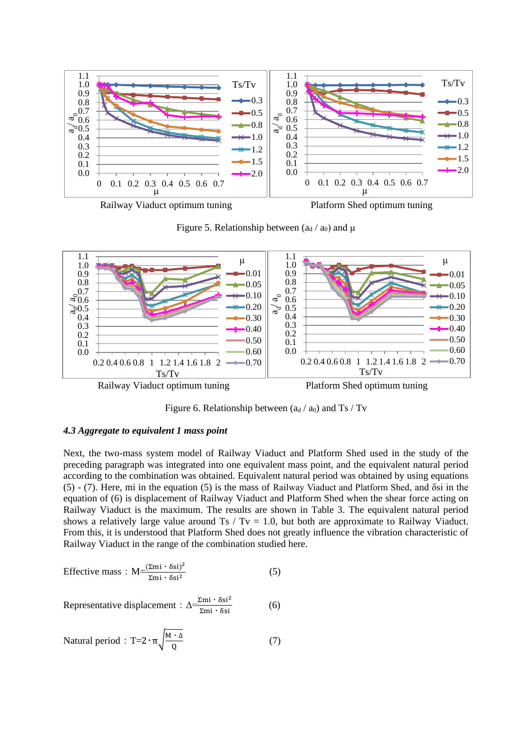

Railway Viaduct optimum tuning Platform Shed optimum tuning

Figure 5. Relationship between  $(a_d/a_0)$  and  $\mu$ 



Figure 6. Relationship between  $(a_d / a_0)$  and Ts / Tv

#### *4.3 Aggregate to equivalent 1 mass point*

Next, the two-mass system model of Railway Viaduct and Platform Shed used in the study of the preceding paragraph was integrated into one equivalent mass point, and the equivalent natural period according to the combination was obtained. Equivalent natural period was obtained by using equations (5) - (7). Here, mi in the equation (5) is the mass of Railway Viaduct and Platform Shed, and δsi in the equation of (6) is displacement of Railway Viaduct and Platform Shed when the shear force acting on Railway Viaduct is the maximum. The results are shown in Table 3. The equivalent natural period shows a relatively large value around Ts / Tv = 1.0, but both are approximate to Railway Viaduct. From this, it is understood that Platform Shed does not greatly influence the vibration characteristic of Railway Viaduct in the range of the combination studied here.

$$
\text{Effective mass}: \,\mathrm{M} = \frac{(\Sigma \text{mi} \cdot \delta \text{si})^2}{\Sigma \text{mi} \cdot \delta \text{si}^2} \tag{5}
$$

Representative displacement : 
$$
\Delta \frac{\Sigma \text{mi} \cdot \delta \text{si}^2}{\Sigma \text{mi} \cdot \delta \text{si}}
$$
 (6)

Natural period : T=
$$
2 \cdot \pi \sqrt{\frac{M \cdot \Delta}{Q}}
$$
 (7)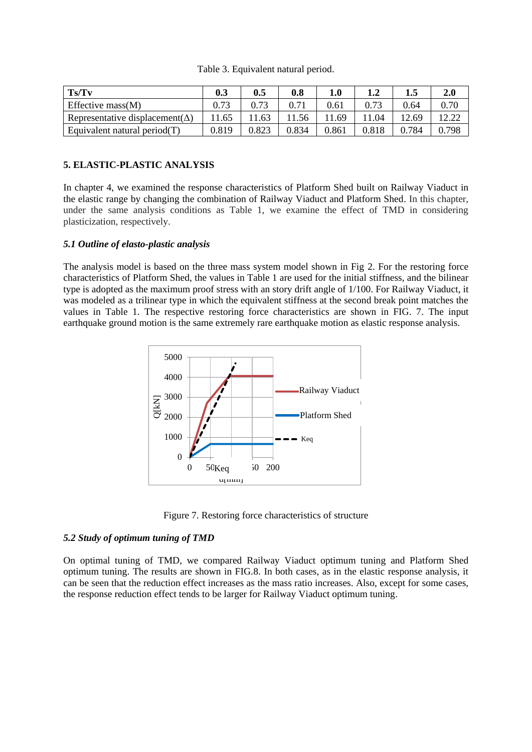| Ts/Tv                                   | 0.3   | 0.5   | 0.8   | $1.0\,$ | ⊥.∠   | 1.5          | 2.0   |
|-----------------------------------------|-------|-------|-------|---------|-------|--------------|-------|
| Effective mass $(M)$                    |       |       |       | 0.61    |       | 0.64         | 0.70  |
| Representative displacement( $\Delta$ ) | 1.65  | 11.63 | 1.56  | 11.69   | 1.04  | 12.69        |       |
| Equivalent natural period $(T)$         | 0.819 | 0.823 | 0.834 | 0.861   | 0.818 | $\Omega$ 784 | 0.798 |

Table 3. Equivalent natural period.

## **5. ELASTIC-PLASTIC ANALYSIS**

In chapter 4, we examined the response characteristics of Platform Shed built on Railway Viaduct in the elastic range by changing the combination of Railway Viaduct and Platform Shed. In this chapter, under the same analysis conditions as Table 1, we examine the effect of TMD in considering plasticization, respectively.

## *5.1 Outline of elasto-plastic analysis*

The analysis model is based on the three mass system model shown in Fig 2. For the restoring force characteristics of Platform Shed, the values in Table 1 are used for the initial stiffness, and the bilinear type is adopted as the maximum proof stress with an story drift angle of 1/100. For Railway Viaduct, it was modeled as a trilinear type in which the equivalent stiffness at the second break point matches the values in Table 1. The respective restoring force characteristics are shown in FIG. 7. The input earthquake ground motion is the same extremely rare earthquake motion as elastic response analysis.



Figure 7. Restoring force characteristics of structure

#### *5.2 Study of optimum tuning of TMD*

On optimal tuning of TMD, we compared Railway Viaduct optimum tuning and Platform Shed optimum tuning. The results are shown in FIG.8. In both cases, as in the elastic response analysis, it can be seen that the reduction effect increases as the mass ratio increases. Also, except for some cases, the response reduction effect tends to be larger for Railway Viaduct optimum tuning.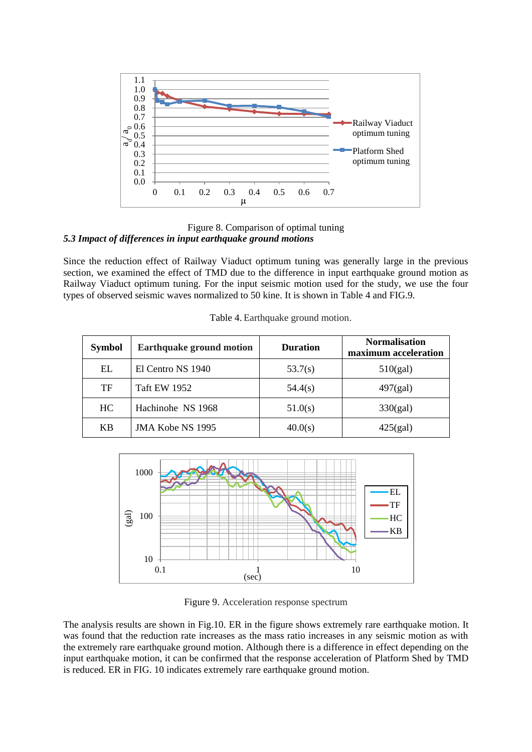

Figure 8. Comparison of optimal tuning *5.3 Impact of differences in input earthquake ground motions*

Since the reduction effect of Railway Viaduct optimum tuning was generally large in the previous section, we examined the effect of TMD due to the difference in input earthquake ground motion as Railway Viaduct optimum tuning. For the input seismic motion used for the study, we use the four types of observed seismic waves normalized to 50 kine. It is shown in Table 4 and FIG.9.

| <b>Symbol</b> | <b>Earthquake ground motion</b> | <b>Duration</b> | <b>Normalisation</b><br>maximum acceleration |  |  |
|---------------|---------------------------------|-----------------|----------------------------------------------|--|--|
| EL            | El Centro NS 1940               | 53.7(s)         | 510(gal)                                     |  |  |
| TF            | <b>Taft EW 1952</b>             | 54.4(s)         | $497$ (gal)                                  |  |  |
| HC.           | Hachinohe NS 1968               | 51.0(s)         | 330(gal)                                     |  |  |
| KB            | JMA Kobe NS 1995                | 40.0(s)         | 425(gal)                                     |  |  |

Table 4. Earthquake ground motion.



Figure 9. Acceleration response spectrum

The analysis results are shown in Fig.10. ER in the figure shows extremely rare earthquake motion. It was found that the reduction rate increases as the mass ratio increases in any seismic motion as with the extremely rare earthquake ground motion. Although there is a difference in effect depending on the input earthquake motion, it can be confirmed that the response acceleration of Platform Shed by TMD is reduced. ER in FIG. 10 indicates extremely rare earthquake ground motion.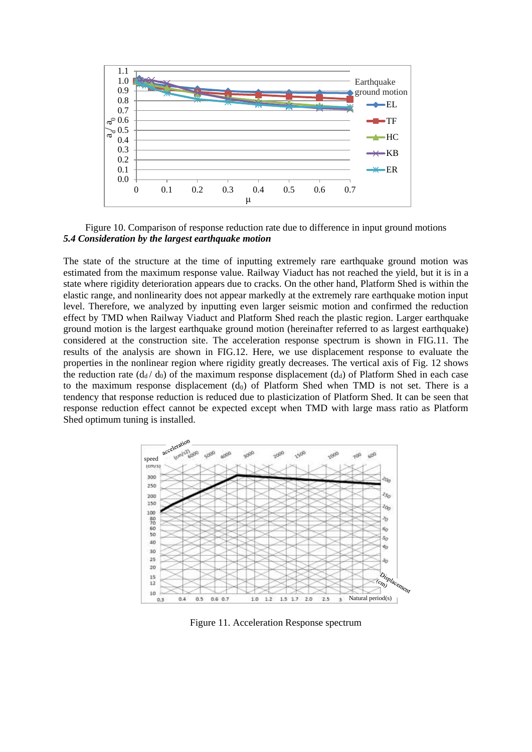

Figure 10. Comparison of response reduction rate due to difference in input ground motions *5.4 Consideration by the largest earthquake motion*

The state of the structure at the time of inputting extremely rare earthquake ground motion was estimated from the maximum response value. Railway Viaduct has not reached the yield, but it is in a state where rigidity deterioration appears due to cracks. On the other hand, Platform Shed is within the elastic range, and nonlinearity does not appear markedly at the extremely rare earthquake motion input level. Therefore, we analyzed by inputting even larger seismic motion and confirmed the reduction effect by TMD when Railway Viaduct and Platform Shed reach the plastic region. Larger earthquake ground motion is the largest earthquake ground motion (hereinafter referred to as largest earthquake) considered at the construction site. The acceleration response spectrum is shown in FIG.11. The results of the analysis are shown in FIG.12. Here, we use displacement response to evaluate the properties in the nonlinear region where rigidity greatly decreases. The vertical axis of Fig. 12 shows the reduction rate  $(d_d/d_0)$  of the maximum response displacement  $(d_d)$  of Platform Shed in each case to the maximum response displacement  $(d_0)$  of Platform Shed when TMD is not set. There is a tendency that response reduction is reduced due to plasticization of Platform Shed. It can be seen that response reduction effect cannot be expected except when TMD with large mass ratio as Platform Shed optimum tuning is installed.



Figure 11. Acceleration Response spectrum